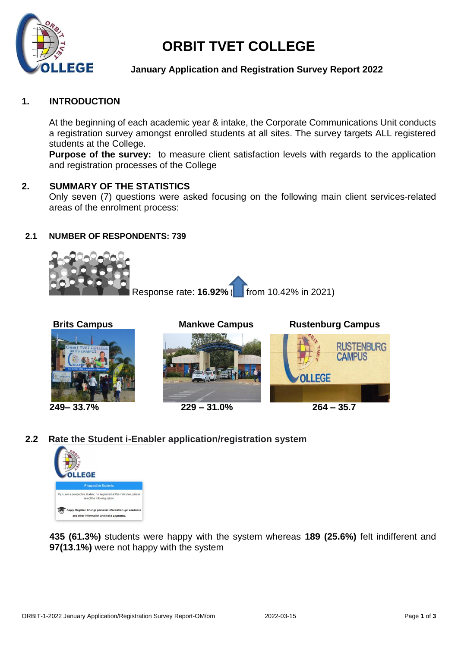

# **ORBIT TVET COLLEGE**

## **January Application and Registration Survey Report 2022**

## **1. INTRODUCTION**

At the beginning of each academic year & intake, the Corporate Communications Unit conducts a registration survey amongst enrolled students at all sites. The survey targets ALL registered students at the College.

**Purpose of the survey:** to measure client satisfaction levels with regards to the application and registration processes of the College

## **2. SUMMARY OF THE STATISTICS**

Only seven (7) questions were asked focusing on the following main client services-related areas of the enrolment process:

## **2.1 NUMBER OF RESPONDENTS: 739**





**Brits Campus Mankwe Campus Rustenburg Campus** 



**2.2 Rate the Student i-Enabler application/registration system**



**435 (61.3%)** students were happy with the system whereas **189 (25.6%)** felt indifferent and **97(13.1%)** were not happy with the system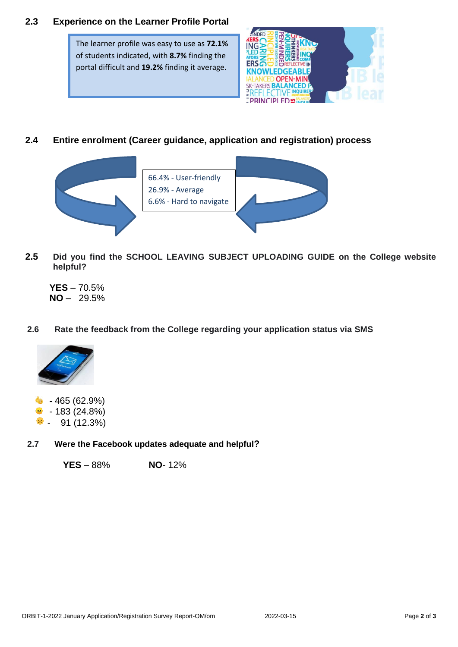# **2.3 Experience on the Learner Profile Portal**

The learner profile was easy to use as **72.1%** of students indicated, with **8.7%** finding the portal difficult and **19.2%** finding it average.



# **2.4 Entire enrolment (Career guidance, application and registration) process**



- **2.5 Did you find the SCHOOL LEAVING SUBJECT UPLOADING GUIDE on the College website helpful?**
	- **YES** 70.5%  $NO - 29.5%$

## **2.6 Rate the feedback from the College regarding your application status via SMS**



- **-** 465 (62.9%)  $\bullet$  - 183 (24.8%)
- $\approx$  91 (12.3%)

## **2.7 Were the Facebook updates adequate and helpful?**

 **YES** – 88% **NO**- 12%